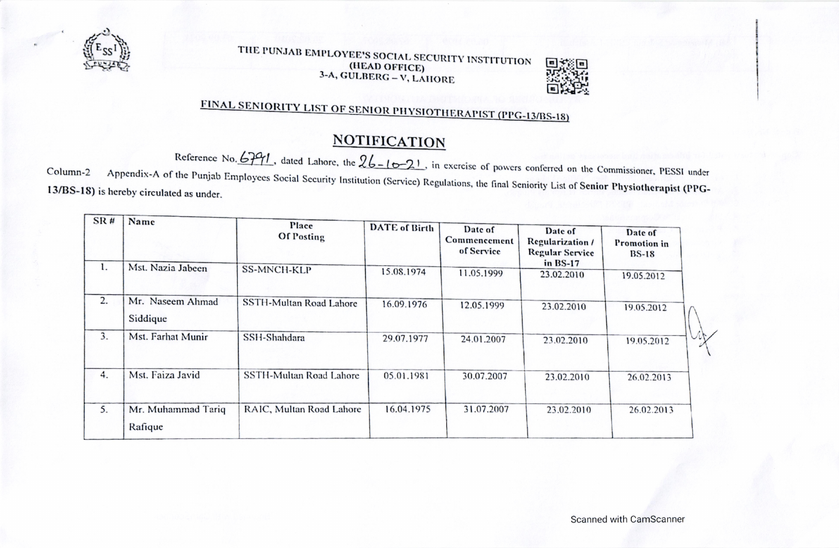

## THE PUNJAB EMPLOYEE'S SOCIAL SECURITY INSTITUTION (HEAD OFFICE) 3-A, GULBERG - V, LAHORE



## **FINAL SENIORITY LIST OF SENIOR PHYSIOTHERAPIST (PPG-13/BS-18)**

## **NOTIFICATION**

Reference No.  $6791$ , dated Lahore, the  $26 - 16 - 21$ , in exercise of powers conferred on the Commissioner, PESSI under Appendix-A of the Punjab Employees Social Security Institution (Service) Regulations, the final Seniority List of Senior Physiotherapist (PPG-Column-2 13/BS-18) is hereby circulated as under.

| SR# | Name                          | Place<br><b>Of Posting</b> | <b>DATE</b> of Birth | Date of<br>Commencement<br>of Service | Date of<br>Regularization /<br><b>Regular Service</b><br>in BS-17 | Date of<br>Promotion in<br>$BS-18$ |
|-----|-------------------------------|----------------------------|----------------------|---------------------------------------|-------------------------------------------------------------------|------------------------------------|
| 1.  | Mst. Nazia Jabeen             | <b>SS-MNCH-KLP</b>         | 15.08.1974           | 11.05.1999                            | 23.02.2010                                                        | 19.05.2012                         |
| 2.  | Mr. Naseem Ahmad<br>Siddique  | SSTH-Multan Road Lahore    | 16.09.1976           | 12.05.1999                            | 23.02.2010                                                        | 19.05.2012                         |
| 3.  | Mst. Farhat Munir             | SSH-Shahdara               | 29.07.1977           | 24.01.2007                            | 23.02.2010                                                        | 19.05.2012                         |
| 4.  | Mst. Faiza Javid              | SSTH-Multan Road Lahore    | 05.01.1981           | 30.07.2007                            | 23.02.2010                                                        | 26.02.2013                         |
| 5.  | Mr. Muhammad Tariq<br>Rafique | RAIC, Multan Road Lahore   | 16.04.1975           | 31.07.2007                            | 23.02.2010                                                        | 26.02.2013                         |